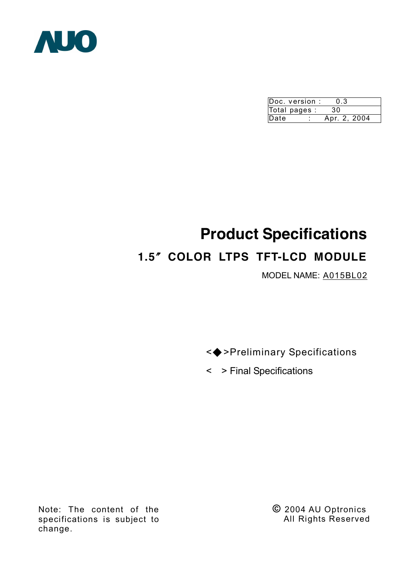

|      | Doc. version : | 0.3          |  |
|------|----------------|--------------|--|
|      | Total pages :  | 30           |  |
| Date |                | Apr. 2, 2004 |  |

# **Product Specifications 1.5**〞**COLOR LTPS TFT-LCD MODULE**

MODEL NAME: A015BL02

<◆>Preliminary Specifications

< > Final Specifications

Note: The content of the specifications is subject to change.

**©** 2004 AU Optronics All Rights Reserved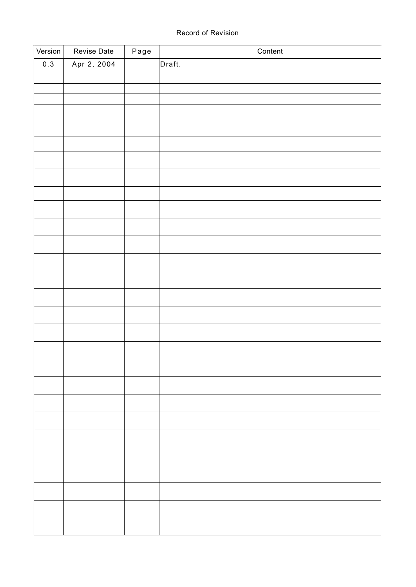#### Record of Revision

| Version | Revise Date | Page | Content |
|---------|-------------|------|---------|
| 0.3     | Apr 2, 2004 |      | Draft.  |
|         |             |      |         |
|         |             |      |         |
|         |             |      |         |
|         |             |      |         |
|         |             |      |         |
|         |             |      |         |
|         |             |      |         |
|         |             |      |         |
|         |             |      |         |
|         |             |      |         |
|         |             |      |         |
|         |             |      |         |
|         |             |      |         |
|         |             |      |         |
|         |             |      |         |
|         |             |      |         |
|         |             |      |         |
|         |             |      |         |
|         |             |      |         |
|         |             |      |         |
|         |             |      |         |
|         |             |      |         |
|         |             |      |         |
|         |             |      |         |
|         |             |      |         |
|         |             |      |         |
|         |             |      |         |
|         |             |      |         |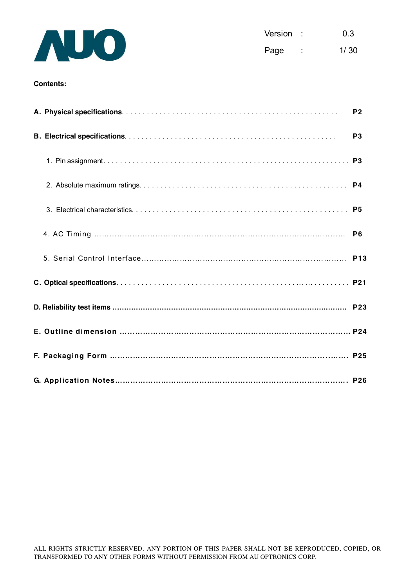

| Version |                | 0.3  |
|---------|----------------|------|
| Page    | $\blacksquare$ | 1/30 |

#### **Contents:**

|  | P <sub>2</sub> |
|--|----------------|
|  | P <sub>3</sub> |
|  |                |
|  |                |
|  |                |
|  |                |
|  |                |
|  |                |
|  |                |
|  |                |
|  |                |
|  |                |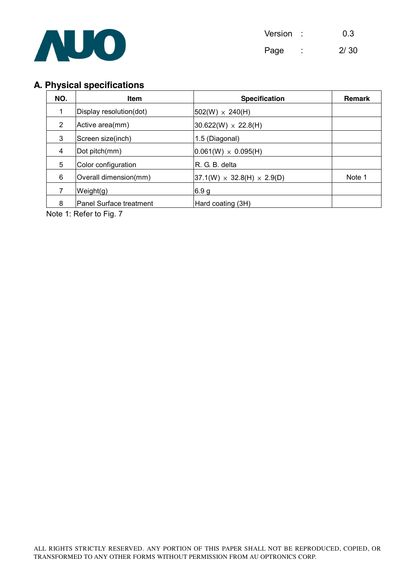

# **A. Physical specifications**

| NO. | <b>Item</b>             | <b>Specification</b>                    | <b>Remark</b> |
|-----|-------------------------|-----------------------------------------|---------------|
| 1   | Display resolution(dot) | $ 502(W) \times 240(H)$                 |               |
| 2   | Active area(mm)         | $30.622(W) \times 22.8(H)$              |               |
| 3   | Screen size(inch)       | 1.5 (Diagonal)                          |               |
| 4   | Dot pitch(mm)           | $ 0.061(W) \times 0.095(H) $            |               |
| 5   | Color configuration     | R. G. B. delta                          |               |
| 6   | Overall dimension(mm)   | $ 37.1(W) \times 32.8(H) \times 2.9(D)$ | Note 1        |
|     | Weight(g)               | 6.9 <sub>g</sub>                        |               |
| 8   | Panel Surface treatment | Hard coating (3H)                       |               |

Note 1: Refer to Fig. 7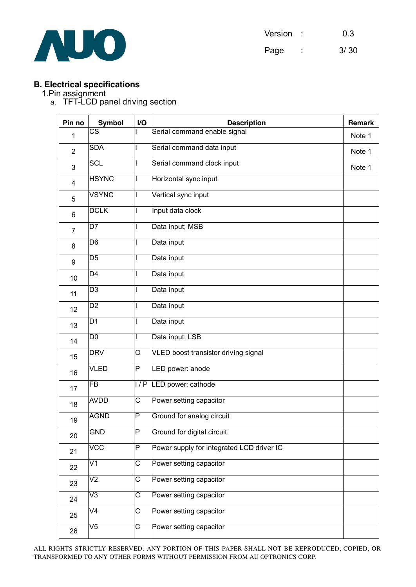

| Version | 0.3  |
|---------|------|
| Page    | 3/30 |

## **B. Electrical specifications**

#### 1.Pin assignment

a. TFT-LCD panel driving section

| Pin no         | <b>Symbol</b>           | I/O                     | <b>Description</b>                        |        |  |  |
|----------------|-------------------------|-------------------------|-------------------------------------------|--------|--|--|
| 1              | $\overline{\text{cs}}$  |                         | Serial command enable signal              | Note 1 |  |  |
| $\overline{2}$ | <b>SDA</b>              |                         | Serial command data input                 | Note 1 |  |  |
| 3              | <b>SCL</b>              |                         | Serial command clock input                | Note 1 |  |  |
| $\overline{4}$ | <b>HSYNC</b>            |                         | Horizontal sync input                     |        |  |  |
| 5              | <b>VSYNC</b>            | I                       | Vertical sync input                       |        |  |  |
| 6              | <b>DCLK</b>             |                         | Input data clock                          |        |  |  |
| $\overline{7}$ | $\overline{D7}$         |                         | Data input; MSB                           |        |  |  |
| 8              | D <sub>6</sub>          |                         | Data input                                |        |  |  |
| 9              | D <sub>5</sub>          |                         | Data input                                |        |  |  |
| 10             | $\overline{D4}$         |                         | Data input                                |        |  |  |
| 11             | $\overline{D3}$         |                         | Data input                                |        |  |  |
| 12             | $\overline{D2}$         |                         | Data input                                |        |  |  |
| 13             | D <sub>1</sub>          |                         | Data input                                |        |  |  |
| 14             | $\overline{D0}$         |                         | Data input; LSB                           |        |  |  |
| 15             | <b>DRV</b>              | $\overline{O}$          | VLED boost transistor driving signal      |        |  |  |
| 16             | <b>VLED</b>             | P                       | LED power: anode                          |        |  |  |
| 17             | <b>FB</b>               | 1/P                     | LED power: cathode                        |        |  |  |
| 18             | <b>AVDD</b>             | $\overline{\text{C}}$   | Power setting capacitor                   |        |  |  |
| 19             | <b>AGND</b>             | P                       | Ground for analog circuit                 |        |  |  |
| 20             | <b>GND</b>              | $\overline{\mathsf{P}}$ | Ground for digital circuit                |        |  |  |
| 21             | $\overline{\text{VCC}}$ | $\overline{P}$          | Power supply for integrated LCD driver IC |        |  |  |
| 22             | V1                      | $\overline{\text{C}}$   | Power setting capacitor                   |        |  |  |
| 23             | $\overline{\vee}$       | $\overline{\text{C}}$   | Power setting capacitor                   |        |  |  |
| 24             | $\overline{\vee}3$      | $\overline{\text{c}}$   | Power setting capacitor                   |        |  |  |
| 25             | $\overline{\vee}$       | $\overline{\text{C}}$   | Power setting capacitor                   |        |  |  |
| 26             | $\overline{\text{V5}}$  | C                       | Power setting capacitor                   |        |  |  |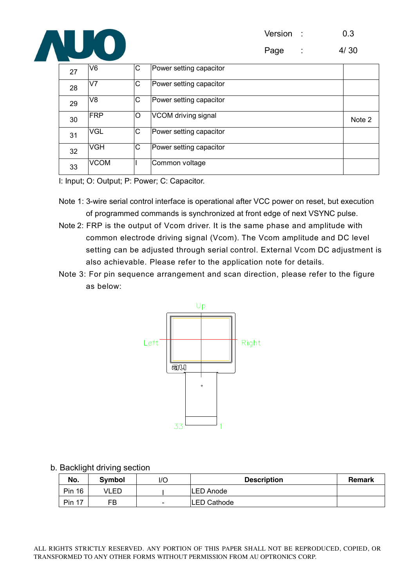Version : 0.3



Page : 4/30

| 27 | V6             | С | Power setting capacitor |        |
|----|----------------|---|-------------------------|--------|
| 28 | V <sub>7</sub> | С | Power setting capacitor |        |
| 29 | V8             | С | Power setting capacitor |        |
| 30 | <b>FRP</b>     | O | VCOM driving signal     | Note 2 |
| 31 | <b>VGL</b>     | С | Power setting capacitor |        |
| 32 | <b>VGH</b>     | С | Power setting capacitor |        |
| 33 | <b>VCOM</b>    |   | Common voltage          |        |

I: Input; O: Output; P: Power; C: Capacitor.

- Note 1: 3-wire serial control interface is operational after VCC power on reset, but execution of programmed commands is synchronized at front edge of next VSYNC pulse.
- Note 2: FRP is the output of Vcom driver. It is the same phase and amplitude with common electrode driving signal (Vcom). The Vcom amplitude and DC level setting can be adjusted through serial control. External Vcom DC adjustment is also achievable. Please refer to the application note for details.
- Note 3: For pin sequence arrangement and scan direction, please refer to the figure as below:



b. Backlight driving section

| No.       | Symbol | l/C                      | <b>Description</b> | Remark |
|-----------|--------|--------------------------|--------------------|--------|
| Pin<br>16 | VLED   |                          | LED Anode          |        |
| Pin<br>17 | FB     | $\overline{\phantom{a}}$ | LED Cathode        |        |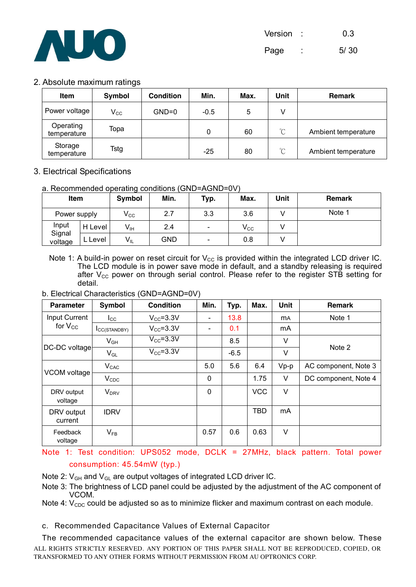

#### 2. Absolute maximum ratings

| <b>Item</b>              | Symbol       | <b>Condition</b> | Min.   | Max. | Unit            | <b>Remark</b>       |
|--------------------------|--------------|------------------|--------|------|-----------------|---------------------|
| Power voltage            | $V_{\rm CC}$ | $GND=0$          | $-0.5$ | 5    | V               |                     |
| Operating<br>temperature | Topa         |                  | 0      | 60   | $\rm{C}$        | Ambient temperature |
| Storage<br>temperature   | Tstg         |                  | $-25$  | 80   | $\rm ^{\circ}C$ | Ambient temperature |

# 3. Electrical Specifications

#### a. Recommended operating conditions (GND=AGND=0V)

| Item              |         | Symbol          | Min. | Typ.                     | Max.                       | Unit | <b>Remark</b> |
|-------------------|---------|-----------------|------|--------------------------|----------------------------|------|---------------|
| Power supply      |         | $V_{\rm CC}$    | 2.7  | 3.3                      | 3.6                        |      | Note 1        |
| Input             | H Level | $V_{\text{IH}}$ | 2.4  | $\overline{\phantom{a}}$ | $\mathsf{V}_{\mathsf{CC}}$ |      |               |
| Signal<br>voltage | L Level | $V_{IL}$        | GND  | $\overline{\phantom{a}}$ | 0.8                        |      |               |

Note 1: A build-in power on reset circuit for  $V_{CC}$  is provided within the integrated LCD driver IC. The LCD module is in power save mode in default, and a standby releasing is required after  $V_{CC}$  power on through serial control. Please refer to the register STB setting for detail.

b. Electrical Characteristics (GND=AGND=0V)

| <b>Parameter</b>      | Symbol              | <b>Condition</b> | Min.                     | Typ.   | Max.       | <b>Unit</b> | <b>Remark</b>        |
|-----------------------|---------------------|------------------|--------------------------|--------|------------|-------------|----------------------|
| Input Current         | $_{\rm lcc}$        | $V_{CC} = 3.3V$  | $\overline{\phantom{0}}$ | 13.8   |            | <b>MA</b>   | Note 1               |
| for $V_{CC}$          | <b>ICC(STANDBY)</b> | $V_{CC} = 3.3V$  | -                        | 0.1    |            | mA          |                      |
|                       | $V_{GH}$            | $V_{CC} = 3.3V$  |                          | 8.5    |            | V           | Note 2               |
| DC-DC voltage         | $V_{GL}$            | $V_{CC} = 3.3V$  |                          | $-6.5$ |            | V           |                      |
|                       | $V_{CAC}$           |                  | 5.0                      | 5.6    | 6.4        | $Vp-p$      | AC component, Note 3 |
| VCOM voltage          | $V_{CDC}$           |                  | $\mathbf{0}$             |        | 1.75       | $\vee$      | DC component, Note 4 |
| DRV output<br>voltage | $V_{DRV}$           |                  | $\mathbf 0$              |        | <b>VCC</b> | $\vee$      |                      |
| DRV output<br>current | <b>IDRV</b>         |                  |                          |        | <b>TBD</b> | mA          |                      |
| Feedback<br>voltage   | $V_{FB}$            |                  | 0.57                     | 0.6    | 0.63       | $\vee$      |                      |

Note 1: Test condition: UPS052 mode, DCLK = 27MHz, black pattern. Total power consumption: 45.54mW (typ.)

Note 2:  $V_{GH}$  and  $V_{GL}$  are output voltages of integrated LCD driver IC.

Note 3: The brightness of LCD panel could be adjusted by the adjustment of the AC component of VCOM.

Note 4:  $V_{CDC}$  could be adjusted so as to minimize flicker and maximum contrast on each module.

c. Recommended Capacitance Values of External Capacitor

ALL RIGHTS STRICTLY RESERVED. ANY PORTION OF THIS PAPER SHALL NOT BE REPRODUCED, COPIED, OR TRANSFORMED TO ANY OTHER FORMS WITHOUT PERMISSION FROM AU OPTRONICS CORP. The recommended capacitance values of the external capacitor are shown below. These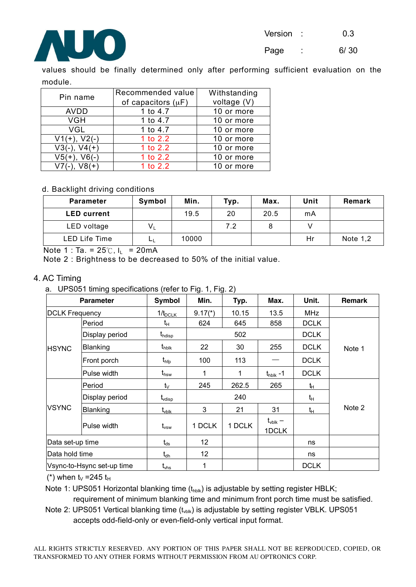

Page : 6/30

values should be finally determined only after performing sufficient evaluation on the module.

| Pin name             | Recommended value       | Withstanding |
|----------------------|-------------------------|--------------|
|                      | of capacitors $(\mu F)$ | voltage (V)  |
| <b>AVDD</b>          | 1 to 4.7                | 10 or more   |
| <b>VGH</b>           | 1 to 4.7                | 10 or more   |
| <b>VGL</b>           | 1 to 4.7                | 10 or more   |
| $V1(+)$ , $V2(-)$    | 1 to 2.2                | 10 or more   |
| $V3(-)$ ,<br>$V4(+)$ | 1 to 2.2                | 10 or more   |
| $V5(+)$ .            | 1 to 2.2                | 10 or more   |
| V7(-).               | 1 to 2.2                | 10 or more   |

#### d. Backlight driving conditions

| <b>Parameter</b>   | Symbol | Min.  | Typ. | Max. | Unit | Remark     |
|--------------------|--------|-------|------|------|------|------------|
| <b>LED current</b> |        | 19.5  | 20   | 20.5 | mA   |            |
| LED voltage        | $V_L$  |       | 7.2  |      |      |            |
| LED Life Time      | டட     | 10000 |      |      | Hr   | Note $1,2$ |

Note 1 : Ta. =  $25^\circ$ C, I<sub>L</sub> = 20mA

Note 2 : Brightness to be decreased to 50% of the initial value.

#### 4. AC Timing

a. UPS051 timing specifications (refer to Fig. 1, Fig. 2)

|                       | <b>Parameter</b>           | <b>Symbol</b>                 | Min.    | Typ.          | Max.                         | Unit.       | <b>Remark</b> |
|-----------------------|----------------------------|-------------------------------|---------|---------------|------------------------------|-------------|---------------|
| <b>DCLK Frequency</b> |                            | 1/t <sub>DCLK</sub>           | $9.17*$ | 10.15<br>13.5 |                              | <b>MHz</b>  |               |
|                       | Period                     | tμ                            | 624     | 645           | 858                          | <b>DCLK</b> |               |
|                       | Display period             | $\mathsf{t}_{\textsf{hdisp}}$ |         | 502           |                              | <b>DCLK</b> |               |
| <b>HSYNC</b>          | Blanking                   | $t_{\sf hblk}$                | 22      | 30            | 255                          | <b>DCLK</b> | Note 1        |
|                       | Front porch                | $t_{\sf hfp}$                 | 100     | 113           |                              | <b>DCLK</b> |               |
| Pulse width           |                            | $\mathfrak{t}_{\rm hsw}$      | 1       | 1             | $t_{\text{hblk}}$ -1         | <b>DCLK</b> |               |
|                       | Period                     | $t_{\vee}$                    | 245     | 262.5         | 265                          | tн          |               |
| Display period        |                            | $\mathfrak{t}_{\text{vdisp}}$ |         | 240           |                              |             |               |
| <b>VSYNC</b>          | Blanking                   | $\rm t_{vblk}$                | 3       | 21            | 31                           | $t_H$       | Note 2        |
|                       | Pulse width                | $t_{\mathsf{vsw}}$            | 1 DCLK  | 1 DCLK        | $t_{\text{vblk}} -$<br>1DCLK |             |               |
| Data set-up time      |                            | $t_{ds}$                      | 12      |               |                              | ns          |               |
| Data hold time        |                            | $t_{\text{dh}}$               | 12      |               |                              | ns          |               |
|                       | Vsync-to-Hsync set-up time | $t_{\rm vhs}$                 | 1       |               |                              | <b>DCLK</b> |               |

(\*) when  $t_V$  =245  $t_H$ 

Note 1: UPS051 Horizontal blanking time  $(t_{\text{hblk}})$  is adjustable by setting register HBLK;

requirement of minimum blanking time and minimum front porch time must be satisfied.

Note 2: UPS051 Vertical blanking time  $(t_{\text{volk}})$  is adjustable by setting register VBLK. UPS051 accepts odd-field-only or even-field-only vertical input format.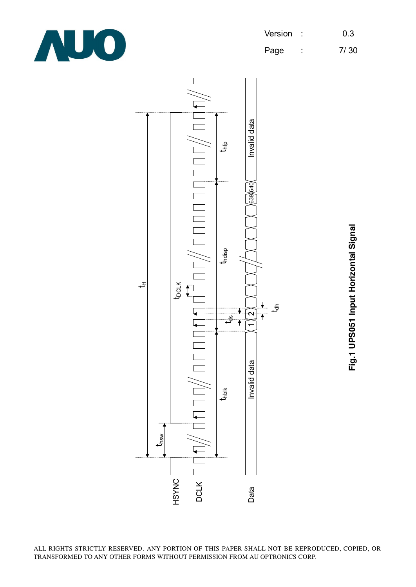

Page : 7/30



Fig.1 UPS051 Input Horizontal Signal **Fig.1 UPS051 Input Horizontal Signal**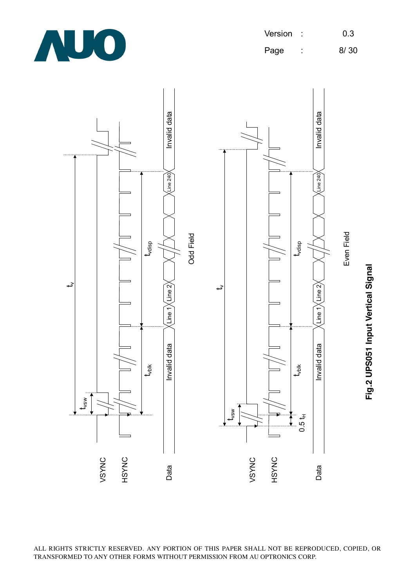

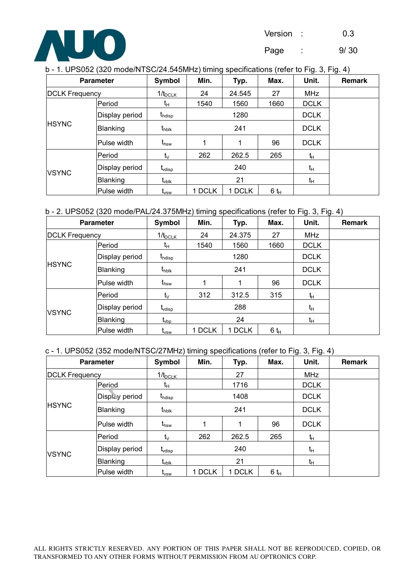

Page : 9/ 30

| b - 1. UPS052 (320 mode/NTSC/24.545MHz) timing specifications (refer to Fig. 3, Fig. 4) |
|-----------------------------------------------------------------------------------------|
|-----------------------------------------------------------------------------------------|

|                       | <b>Parameter</b> | Symbol                   | Min.   | ິ່<br>Typ. | Max.   | ັ<br>Unit.     | ັ<br><b>Remark</b> |
|-----------------------|------------------|--------------------------|--------|------------|--------|----------------|--------------------|
| <b>DCLK Frequency</b> |                  | $1/t_{DCLK}$             | 24     | 24.545     | 27     | <b>MHz</b>     |                    |
|                       | Period           | tμ                       | 1540   | 1560       | 1660   | <b>DCLK</b>    |                    |
| <b>HSYNC</b>          | Display period   | $t_{\text{hdisp}}$       |        | 1280       |        | <b>DCLK</b>    |                    |
|                       | Blanking         | $t_{\sf hblk}$           |        | 241        |        | <b>DCLK</b>    |                    |
|                       | Pulse width      | $t_{\sf hsw}$            | 1      | 1          | 96     | <b>DCLK</b>    |                    |
|                       | Period           | $t_{\vee}$               | 262    | 262.5      | 265    | t <sub>H</sub> |                    |
| <b>VSYNC</b>          | Display period   | $t_{\text{vdisp}}$       |        | 240        | $t_H$  |                |                    |
|                       | Blanking         | $\text{t}_{\text{vblk}}$ | 21     |            |        | tμ             |                    |
|                       | Pulse width      | t <sub>vsw</sub>         | 1 DCLK | 1 DCLK     | $6t_H$ |                |                    |

# b - 2. UPS052 (320 mode/PAL/24.375MHz) timing specifications (refer to Fig. 3, Fig. 4)

|                          | <b>Parameter</b> | Symbol                  | Min.<br>Typ.       |        | Max.    | Unit.       | Remark |
|--------------------------|------------------|-------------------------|--------------------|--------|---------|-------------|--------|
| <b>DCLK Frequency</b>    |                  | $1/t_{DCLK}$            | 24<br>24.375<br>27 |        | MHz     |             |        |
|                          | Period           | īΗ                      | 1540               | 1560   | 1660    | <b>DCLK</b> |        |
|                          | Display period   | $t_{\text{hdisp}}$      |                    | 1280   |         | <b>DCLK</b> |        |
| <b>HSYNC</b><br>Blanking |                  | $t_{\text{hblk}}$       |                    | 241    |         | <b>DCLK</b> |        |
|                          | Pulse width      | $t_{\rm hsw}$           | 4                  | 1      | 96      | <b>DCLK</b> |        |
|                          | <b>Period</b>    | tv                      | 312                | 312.5  | 315     | tн          |        |
| <b>VSYNC</b>             | Display period   | $t_{\text{vdisp}}$      |                    | 288    | tн      |             |        |
|                          | Blanking         | $\text{t}_{\text{vbo}}$ | 24                 |        |         | tн          |        |
|                          | Pulse width      | t <sub>vsw</sub>        | 1 DCLK             | 1 DCLK | $6 t_H$ |             |        |

#### c - 1. UPS052 (352 mode/NTSC/27MHz) timing specifications (refer to Fig. 3, Fig. 4)

| <b>Parameter</b>      |                | Symbol             | Min.   | Typ.   | Max.   | Unit.          | <b>Remark</b> |
|-----------------------|----------------|--------------------|--------|--------|--------|----------------|---------------|
| <b>DCLK Frequency</b> |                | $1/t_{DCLK}$       |        | 27     |        | <b>MHz</b>     |               |
|                       | Period         | tμ                 |        | 1716   |        | <b>DCLK</b>    |               |
|                       | Display period | t <sub>hdisp</sub> |        | 1408   |        | <b>DCLK</b>    |               |
| <b>HSYNC</b>          | Blanking       | $t_{\sf hblk}$     |        | 241    |        | <b>DCLK</b>    |               |
|                       | Pulse width    | $t_{\mathsf{hsw}}$ |        |        | 96     | <b>DCLK</b>    |               |
|                       | Period         | tv.                | 262    | 262.5  | 265    | t <sub>H</sub> |               |
| <b>VSYNC</b>          | Display period | $t_{\text{vdisp}}$ |        | 240    | tμ     |                |               |
|                       | Blanking       | t <sub>vblk</sub>  | 21     |        |        | $t_H$          |               |
|                       | Pulse width    | $\rm t_{vsw}$      | 1 DCLK | 1 DCLK | $6t_H$ |                |               |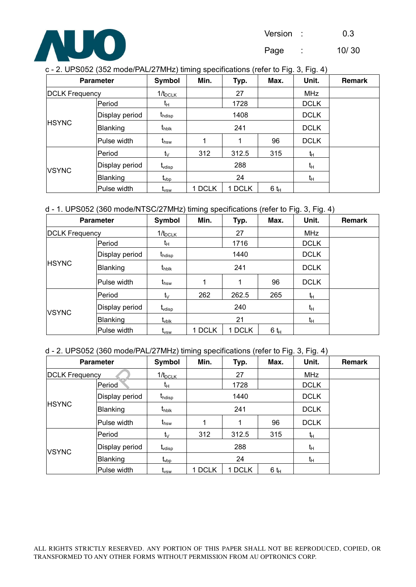

Page : 10/ 30

| c - 2. UPS052 (352 mode/PAL/27MHz) timing specifications (refer to Fig. 3, Fig. 4) |
|------------------------------------------------------------------------------------|
|------------------------------------------------------------------------------------|

| <b>Parameter</b>         |                | Symbol                      | Min.   | Typ.   | Max.    | Unit.       | Remark |
|--------------------------|----------------|-----------------------------|--------|--------|---------|-------------|--------|
| <b>DCLK Frequency</b>    |                | $1/t_{DCLK}$                |        | 27     |         | <b>MHz</b>  |        |
|                          | Period         | tμ                          |        | 1728   |         | <b>DCLK</b> |        |
|                          | Display period | $t_{\text{hdisp}}$          |        | 1408   |         | <b>DCLK</b> |        |
| <b>HSYNC</b><br>Blanking |                | $t_{\rm hblk}$              |        | 241    |         | <b>DCLK</b> |        |
|                          | Pulse width    | $t_{\sf hsw}$               |        |        | 96      | <b>DCLK</b> |        |
|                          | Period         | $t_{\vee}$                  | 312    | 312.5  | 315     | tн          |        |
| <b>VSYNC</b>             | Display period | $t_{\text{vdisp}}$          | 288    |        |         | tн          |        |
|                          | Blanking       | $\text{t}_{\text{vbp}}$     | 24     |        |         | tн          |        |
|                          | Pulse width    | $\mathsf{t}_{\mathsf{vsw}}$ | 1 DCLK | 1 DCLK | $6 t_H$ |             |        |

d - 1. UPS052 (360 mode/NTSC/27MHz) timing specifications (refer to Fig. 3, Fig. 4)

|                       | <b>Parameter</b> | <b>Symbol</b>      | Min.   | Max.<br>Typ. |         | Unit.       | <b>Remark</b> |
|-----------------------|------------------|--------------------|--------|--------------|---------|-------------|---------------|
| <b>DCLK Frequency</b> |                  | $1/t_{DCLK}$       |        | 27           |         | <b>MHz</b>  |               |
|                       | Period           | tμ                 |        | 1716         |         | <b>DCLK</b> |               |
| Display period        |                  | $t_{\text{hdisp}}$ |        | 1440         |         |             |               |
| <b>HSYNC</b>          | Blanking         | $t_{\rm hblk}$     |        | 241          |         | <b>DCLK</b> |               |
|                       | lPulse width     | $t_{\sf hsw}$      | 1      | 1            | 96      | <b>DCLK</b> |               |
|                       | Period           | tv                 | 262    | 262.5        | 265     | ħ           |               |
| <b>VSYNC</b>          | Display period   | $t_{\text{vdisp}}$ |        | 240          | tн      |             |               |
|                       | <b>Blanking</b>  | $t_{\rm vblk}$     |        | 21           |         | $t_H$       |               |
|                       | Pulse width      | t <sub>vsw</sub>   | 1 DCLK | <b>DCLK</b>  | $6 t_H$ |             |               |

#### d - 2. UPS052 (360 mode/PAL/27MHz) timing specifications (refer to Fig. 3, Fig. 4)

|                       | <b>Parameter</b> | Symbol<br>Min.<br>Typ.      |        | Max.   | Unit.   | <b>Remark</b> |  |
|-----------------------|------------------|-----------------------------|--------|--------|---------|---------------|--|
| <b>DCLK Frequency</b> |                  | $1/t_{DCLK}$                |        | 27     |         | MHz           |  |
|                       | Period           | tμ                          |        | 1728   |         | <b>DCLK</b>   |  |
|                       | Display period   | $t_{\text{hdisp}}$          |        | 1440   |         | <b>DCLK</b>   |  |
| <b>HSYNC</b>          | Blanking         | $t_{\text{hblk}}$           |        | 241    |         | <b>DCLK</b>   |  |
|                       | Pulse width      | $t_{\rm hsw}$               | 1      |        | 96      | <b>DCLK</b>   |  |
|                       | Period           | $t_{\vee}$                  | 312    | 312.5  | 315     | ħ             |  |
| <b>VSYNC</b>          | Display period   | $t_{\text{vdisp}}$          |        | 288    | $t_H$   |               |  |
|                       | Blanking         | $t_{\mathsf{vbp}}$          | 24     |        |         | $t_H$         |  |
|                       | Pulse width      | $\mathsf{t}_{\mathsf{vsw}}$ | 1 DCLK | 1 DCLK | $6 t_H$ |               |  |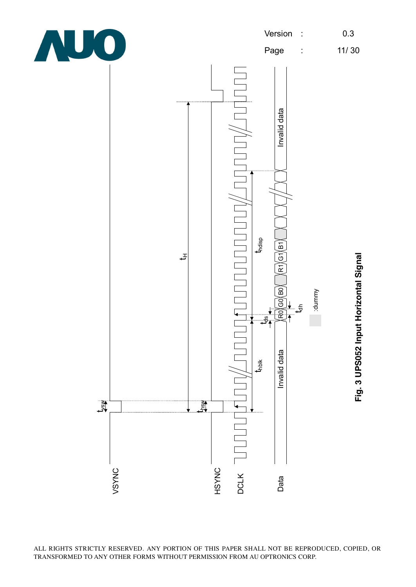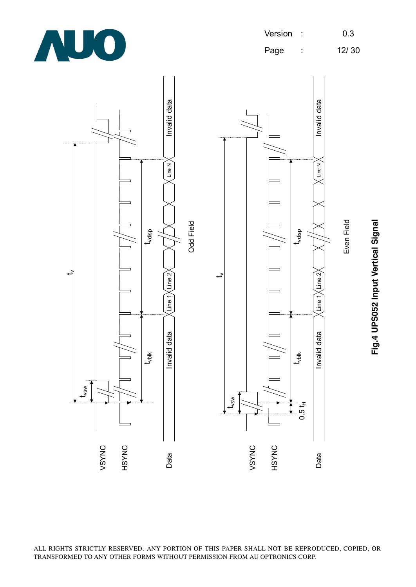



Fig.4 UPS052 Input Vertical Signal **Fig.4 UPS052 Input Vertical Signal**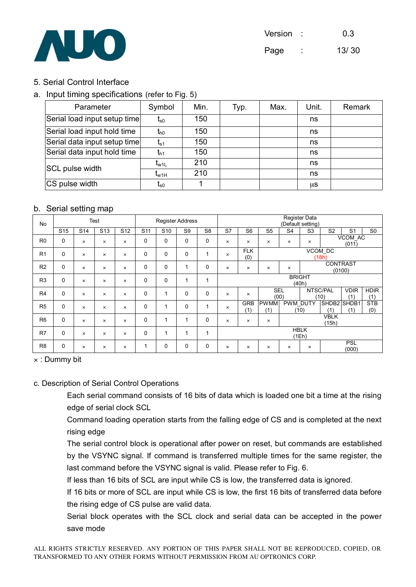

# 5. Serial Control Interface

# a. Input timing specifications (refer to Fig. 5)

| Parameter                    | Symbol                        | Min. | Typ. | Max. | Unit. | Remark |
|------------------------------|-------------------------------|------|------|------|-------|--------|
| Serial load input setup time | $t_{\rm s0}$                  | 150  |      |      | ns    |        |
| Serial load input hold time  | $t_{h0}$                      | 150  |      |      | ns    |        |
| Serial data input setup time | $t_{s1}$                      | 150  |      |      | ns    |        |
| Serial data input hold time  | $t_{h1}$                      | 150  |      |      | ns    |        |
| SCL pulse width              | $\mathfrak{r}_{\mathsf{w1L}}$ | 210  |      |      | ns    |        |
|                              | $\mathfrak{r}_{\text{w1H}}$   | 210  |      |      | ns    |        |
| CS pulse width               | $\mathfrak{r}_{\rm s0}$       |      |      |      | μS    |        |

# b. Serial setting map

| <b>No</b>      | <b>Test</b>     |                 |                 | <b>Register Address</b> |                 | Register Data<br>(Default setting) |                         |                |                        |                   |                    |                |                  |                      |                     |                    |
|----------------|-----------------|-----------------|-----------------|-------------------------|-----------------|------------------------------------|-------------------------|----------------|------------------------|-------------------|--------------------|----------------|------------------|----------------------|---------------------|--------------------|
|                | S <sub>15</sub> | S <sub>14</sub> | S <sub>13</sub> | S <sub>12</sub>         | S <sub>11</sub> | S <sub>10</sub>                    | S <sub>9</sub>          | S <sub>8</sub> | S7                     | S <sub>6</sub>    | S <sub>5</sub>     | S <sub>4</sub> | S <sub>3</sub>   | S <sub>2</sub>       | S <sub>1</sub>      | S <sub>0</sub>     |
| R <sub>0</sub> | 0               | $\times$        | $\times$        | $\times$                | 0               | 0                                  | $\Omega$                | $\mathbf 0$    | $\times$               | $\times$          | $\times$           | ×              | ×                |                      | VCOM_AC<br>(011)    |                    |
| R <sub>1</sub> | 0               | $\times$        | $\times$        | $\times$                | 0               | 0                                  | $\Omega$                | 1              | $\times$               | <b>FLK</b><br>(0) | VCOM_DC<br>(18h)   |                |                  |                      |                     |                    |
| R <sub>2</sub> | 0               | $\times$        | $\times$        | $\times$                | 0               | 0                                  | $\overline{\mathbf{A}}$ | $\Omega$       | $\times$               | $\times$          | ×                  | $\times$       |                  | <b>CONTRAST</b>      | (0100)              |                    |
| R <sub>3</sub> | 0               | $\times$        | $\times$        | $\times$                | 0               | 0                                  |                         | 1              | <b>BRIGHT</b><br>(40h) |                   |                    |                |                  |                      |                     |                    |
| R <sub>4</sub> | $\mathbf 0$     | $\times$        | $\times$        | $\times$                | 0               |                                    | $\Omega$                | $\Omega$       | $\times$               | $\times$          | <b>SEL</b><br>(00) |                |                  | NTSC/PAL<br>(10)     | <b>VDIR</b><br>(1)  | <b>HDIR</b><br>(1) |
| R <sub>5</sub> | 0               | $\times$        | $\times$        | $\times$                | 0               | 1                                  | $\Omega$                | 1              | $\times$               | <b>GRB</b><br>(1) | <b>PWMM</b><br>(1) |                | PWM_DUTY<br>(10) | SHDB2 SHDB1<br>(1)   | (1)                 | <b>STB</b><br>(0)  |
| R <sub>6</sub> | 0               | $\times$        | $\times$        | $\times$                | 0               | 1                                  |                         | $\Omega$       | $\times$               | $\times$          | $\times$           |                |                  | <b>VBLK</b><br>(15h) |                     |                    |
| R7             | 0               | $\times$        | $\times$        | $\times$                | 0               | 1                                  | 4                       | 1              | <b>HBLK</b><br>(1Eh)   |                   |                    |                |                  |                      |                     |                    |
| R <sub>8</sub> | 0               | $\times$        | ×               | $\times$                | 1               | 0                                  | $\Omega$                | $\Omega$       | $\times$               | $\times$          | $\times$           | $\times$       | $\times$         |                      | <b>PSL</b><br>(000) |                    |

× : Dummy bit

#### c. Description of Serial Control Operations

 Each serial command consists of 16 bits of data which is loaded one bit a time at the rising edge of serial clock SCL

 Command loading operation starts from the falling edge of CS and is completed at the next rising edge

 The serial control block is operational after power on reset, but commands are established by the VSYNC signal. If command is transferred multiple times for the same register, the last command before the VSYNC signal is valid. Please refer to Fig. 6.

If less than 16 bits of SCL are input while CS is low, the transferred data is ignored.

 If 16 bits or more of SCL are input while CS is low, the first 16 bits of transferred data before the rising edge of CS pulse are valid data.

 Serial block operates with the SCL clock and serial data can be accepted in the power save mode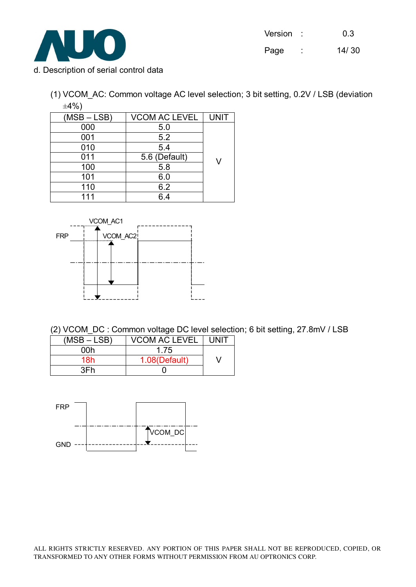

| Version |                     | 0.3   |
|---------|---------------------|-------|
| Page    | ٠<br>$\blacksquare$ | 14/30 |

- d. Description of serial control data
	- (1) VCOM\_AC: Common voltage AC level selection; 3 bit setting, 0.2V / LSB (deviation  $\pm 4\%$ )

| $(MSB - LSB)$ | <b>VCOM AC LEVEL</b> | <b>UNIT</b> |
|---------------|----------------------|-------------|
| 000           | 5.0                  |             |
| 001           | 5.2                  |             |
| 010           | 5.4                  |             |
| 011           | 5.6 (Default)        |             |
| 100           | 5.8                  |             |
| 101           | 6.0                  |             |
| 110           | 6.2                  |             |
| 111           | 6 4                  |             |



(2) VCOM\_DC : Common voltage DC level selection; 6 bit setting, 27.8mV / LSB

| $(MSB - LSB)$ | VCOM AC LEVEL | UNIT |
|---------------|---------------|------|
| ∩∩h           | 1 75          |      |
| 18h           | 1.08(Default) |      |
| 3Fh           |               |      |

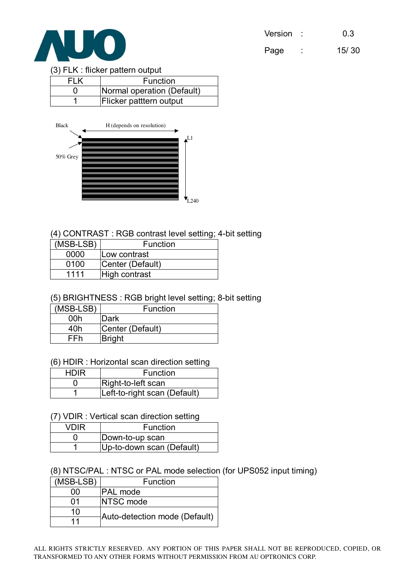

| Version | 0.3 |
|---------|-----|
|         |     |

Page : 15/ 30

#### (3) FLK : flicker pattern output

| FLK | Function                   |
|-----|----------------------------|
|     | Normal operation (Default) |
|     | Flicker patttern output    |



# (4) CONTRAST : RGB contrast level setting; 4-bit setting

| (MSB-LSB) | <b>Function</b>  |
|-----------|------------------|
| 0000      | lLow contrast    |
| 0100      | Center (Default) |
| 1111      | High contrast    |

# (5) BRIGHTNESS : RGB bright level setting; 8-bit setting

| (MSB-LSB) | <b>Function</b>  |
|-----------|------------------|
| 00h       | Dark             |
| 40h       | Center (Default) |
| FFh       | <b>Bright</b>    |

#### (6) HDIR : Horizontal scan direction setting

| <b>HDIR</b> | Function                     |
|-------------|------------------------------|
|             | Right-to-left scan           |
|             | Left-to-right scan (Default) |

#### (7) VDIR : Vertical scan direction setting

| VDIR | Function                  |
|------|---------------------------|
|      | Down-to-up scan           |
|      | Up-to-down scan (Default) |

#### (8) NTSC/PAL : NTSC or PAL mode selection (for UPS052 input timing)

| (MSB-LSB) | Function                      |  |
|-----------|-------------------------------|--|
| იი        | <b>PAL</b> mode               |  |
| በ1        | <b>INTSC</b> mode             |  |
| 10        | Auto-detection mode (Default) |  |
| 11        |                               |  |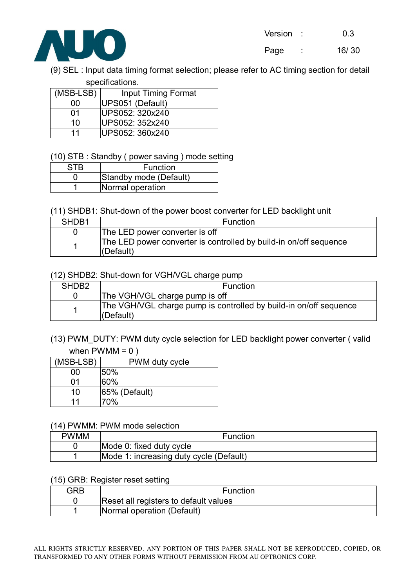

(9) SEL : Input data timing format selection; please refer to AC timing section for detail specifications.

| (MSB-LSB) | <b>Input Timing Format</b> |  |  |  |  |
|-----------|----------------------------|--|--|--|--|
| იი        | UPS051 (Default)           |  |  |  |  |
| በ1        | UPS052: 320x240            |  |  |  |  |
| 10        | lUPS052: 352x240           |  |  |  |  |
| 11        | lUPS052: 360x240           |  |  |  |  |

(10) STB : Standby ( power saving ) mode setting

| STR | Function               |
|-----|------------------------|
|     | Standby mode (Default) |
|     | Normal operation       |

# (11) SHDB1: Shut-down of the power boost converter for LED backlight unit

| SHDB1 | Function                                                                           |
|-------|------------------------------------------------------------------------------------|
|       | The LED power converter is off                                                     |
|       | The LED power converter is controlled by build-in on/off sequence<br>$ $ (Default) |

# (12) SHDB2: Shut-down for VGH/VGL charge pump

| SHDB <sub>2</sub> | Function                                                                           |
|-------------------|------------------------------------------------------------------------------------|
|                   | The VGH/VGL charge pump is off                                                     |
|                   | The VGH/VGL charge pump is controlled by build-in on/off sequence<br>$ $ (Default) |

# (13) PWM\_DUTY: PWM duty cycle selection for LED backlight power converter ( valid when  $PWMM = 0$ )

| (MSB-LSB) | PWM duty cycle |
|-----------|----------------|
| იი        | 50%            |
| በ1        | 60%            |
| 10        | 65% (Default)  |
| 11        | 70%            |

#### (14) PWMM: PWM mode selection

| <b>PWMM</b> | Function                                |
|-------------|-----------------------------------------|
|             | Mode 0: fixed duty cycle                |
|             | Mode 1: increasing duty cycle (Default) |

#### (15) GRB: Register reset setting

| GRB | Function                              |  |
|-----|---------------------------------------|--|
|     | Reset all registers to default values |  |
|     | Normal operation (Default)            |  |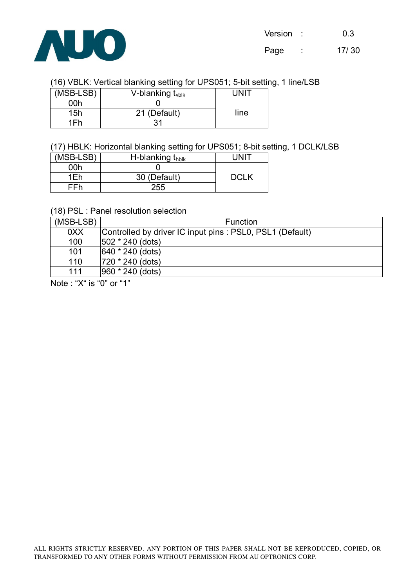

# (16) VBLK: Vertical blanking setting for UPS051; 5-bit setting, 1 line/LSB

| (MSB-LSB) | V-blanking $t_{\text{vblk}}$ |      |
|-----------|------------------------------|------|
| ∩∩h       |                              |      |
| 15h       | 21 (Default)                 | line |
| 1Fh       |                              |      |

# (17) HBLK: Horizontal blanking setting for UPS051; 8-bit setting, 1 DCLK/LSB

| (MSB-LSB) | H-blanking thblk | LINI"       |
|-----------|------------------|-------------|
| 00h       |                  |             |
| 1Fh       | 30 (Default)     | <b>DCLK</b> |
| FFh       | 255              |             |

# (18) PSL : Panel resolution selection

| (MSB-LSB) | Function                                                 |
|-----------|----------------------------------------------------------|
| 0XX       | Controlled by driver IC input pins: PSL0, PSL1 (Default) |
| 100       | $ 502 * 240$ (dots)                                      |
| 101       | 640 * 240 (dots)                                         |
| 110       | 720 * 240 (dots)                                         |
| 111       | 960 * 240 (dots)                                         |

Note : "X" is "0" or "1"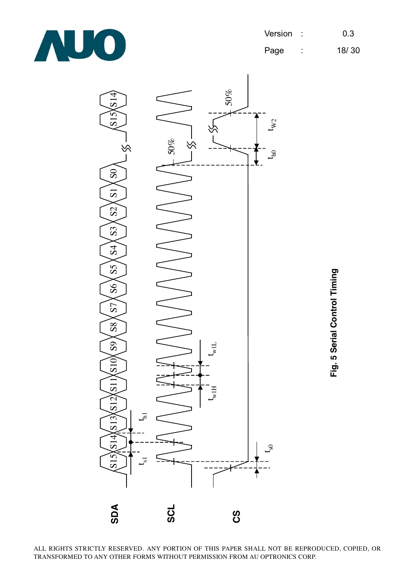

Page : 18/ 30

**Fig. 5 Serial Control Timing**

Fig. 5 Serial Control Timing

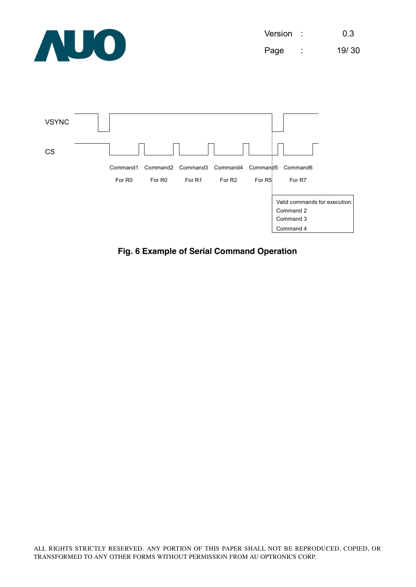

Version : 0.3 Page : 19/ 30



**Fig. 6 Example of Serial Command Operation**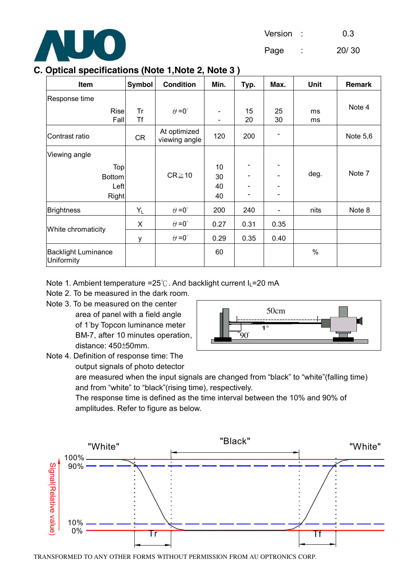

Page : 20/ 30

# **C. Optical specifications (Note 1,Note 2, Note 3 )**

| Item                                     | <b>Symbol</b> | <b>Condition</b>              | Min.                     | Typ.                     | Max.     | Unit | Remark   |
|------------------------------------------|---------------|-------------------------------|--------------------------|--------------------------|----------|------|----------|
| Response time                            |               |                               |                          |                          |          |      |          |
| <b>Rise</b>                              | Tr<br>Τf      | $\theta = 0^{\circ}$          | $\overline{\phantom{a}}$ | 15<br>20                 | 25<br>30 | ms   | Note 4   |
| Fall                                     |               |                               |                          |                          |          | ms   |          |
| Contrast ratio                           | CR            | At optimized<br>viewing angle | 120                      | 200                      |          |      | Note 5,6 |
| Viewing angle                            |               |                               |                          |                          |          |      |          |
| Top                                      |               |                               | 10                       |                          |          |      |          |
| <b>Bottom</b>                            |               | $CR \ge 10$                   | 30                       |                          |          | deg. | Note 7   |
| Left                                     |               |                               | 40                       |                          |          |      |          |
| <b>Right</b>                             |               |                               | 40                       | $\overline{\phantom{0}}$ |          |      |          |
| <b>Brightness</b>                        | $Y_L$         | $\theta = 0^{\circ}$          | 200                      | 240                      |          | nits | Note 8   |
| White chromaticity                       | X             | $\theta = 0^{\circ}$          | 0.27                     | 0.31                     | 0.35     |      |          |
|                                          | y             | $\theta = 0^{\circ}$          | 0.29                     | 0.35                     | 0.40     |      |          |
| <b>Backlight Luminance</b><br>Uniformity |               |                               | 60                       |                          |          | $\%$ |          |

# Note 1. Ambient temperature =25℃. And backlight current I<sub>L</sub>=20 mA

- Note 2. To be measured in the dark room.
- Note 3. To be measured on the center area of panel with a field angle of 1°by Topcon luminance meter BM-7, after 10 minutes operation,



Note 4. Definition of response time: The output signals of photo detector

distance: 450±50mm.

are measured when the input signals are changed from "black" to "white"(falling time) and from "white" to "black"(rising time), respectively.

The response time is defined as the time interval between the 10% and 90% of amplitudes. Refer to figure as below.

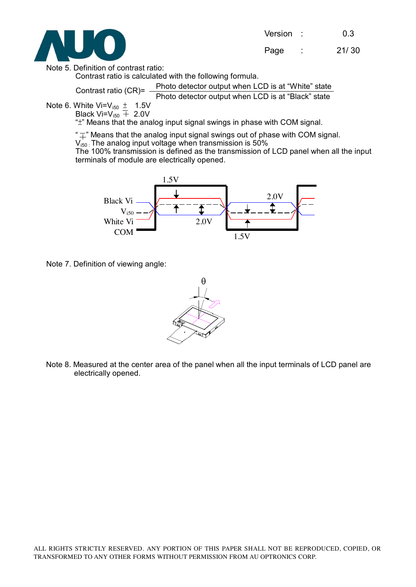

Note 5. Definition of contrast ratio:

Contrast ratio is calculated with the following formula.

Photo detector output when LCD is at "White" state Contrast ratio (CR)= -

Photo detector output when LCD is at "Black" state

Note 6. White  $Vi=V_{150} \pm 1.5V$ 

Black Vi=V<sub>i50</sub>  $\overline{+}$  2.0V

"±" Means that the analog input signal swings in phase with COM signal.

" $\overline{+}$ " Means that the analog input signal swings out of phase with COM signal.

 $V_{150}$ : The analog input voltage when transmission is 50%

The 100% transmission is defined as the transmission of LCD panel when all the input terminals of module are electrically opened.



Note 7. Definition of viewing angle:



Note 8. Measured at the center area of the panel when all the input terminals of LCD panel are electrically opened.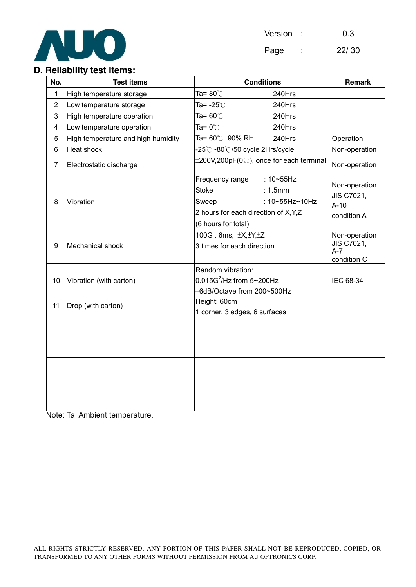

Version : 0.3 Page : 22/ 30

# **D. Reliability test items:**

| No.            | <b>Test items</b>                  | <b>Conditions</b>                                                                                                                                       | <b>Remark</b>                                        |
|----------------|------------------------------------|---------------------------------------------------------------------------------------------------------------------------------------------------------|------------------------------------------------------|
| 1              | High temperature storage           | Ta= $80^{\circ}$ C<br>240Hrs                                                                                                                            |                                                      |
| $\overline{2}$ | Low temperature storage            | 240Hrs<br>Ta= -25℃                                                                                                                                      |                                                      |
| 3              | High temperature operation         | Ta= 60℃<br>240Hrs                                                                                                                                       |                                                      |
| 4              | Low temperature operation          | Ta= 0 $^{\circ}\mathrm{C}$<br>240Hrs                                                                                                                    |                                                      |
| 5              | High temperature and high humidity | Ta= 60℃. 90% RH<br>240Hrs                                                                                                                               | Operation                                            |
| 6              | Heat shock                         | -25℃~80℃/50 cycle 2Hrs/cycle                                                                                                                            | Non-operation                                        |
| $\overline{7}$ | Electrostatic discharge            | $\pm 200V, 200pF(0\Omega)$ , once for each terminal                                                                                                     | Non-operation                                        |
| 8              | Vibration                          | $: 10 - 55$ Hz<br>Frequency range<br><b>Stoke</b><br>: 1.5mm<br>: 10~55Hz~10Hz<br>Sweep<br>2 hours for each direction of X, Y, Z<br>(6 hours for total) | Non-operation<br>JIS C7021,<br>$A-10$<br>condition A |
| 9              | Mechanical shock                   | 100G. 6ms, ±X, ±Y, ±Z<br>3 times for each direction                                                                                                     | Non-operation<br>JIS C7021,<br>$A-7$<br>condition C  |
| 10             | Vibration (with carton)            | Random vibration:<br>$0.015G^2$ /Hz from 5~200Hz<br>-6dB/Octave from 200~500Hz                                                                          | IEC 68-34                                            |
| 11             | Drop (with carton)                 | Height: 60cm<br>1 corner, 3 edges, 6 surfaces                                                                                                           |                                                      |
|                |                                    |                                                                                                                                                         |                                                      |
|                |                                    |                                                                                                                                                         |                                                      |
|                |                                    |                                                                                                                                                         |                                                      |

Note: Ta: Ambient temperature.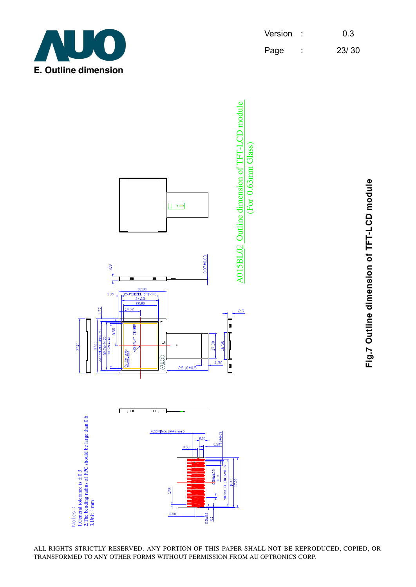

| Version | 0.3   |
|---------|-------|
| Page    | 23/30 |



**Fig.7 Outline dimension of TFT-LCD module** Fig.7 Outline dimension of TFT-LCD module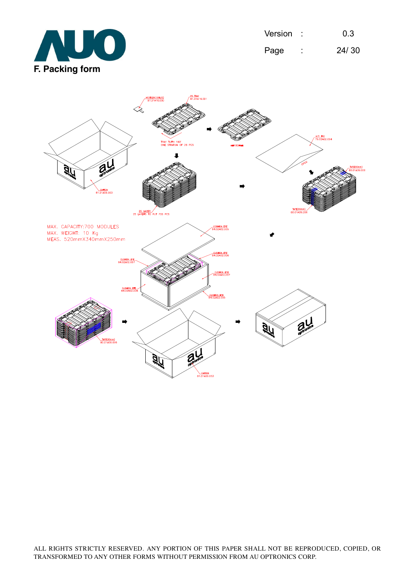

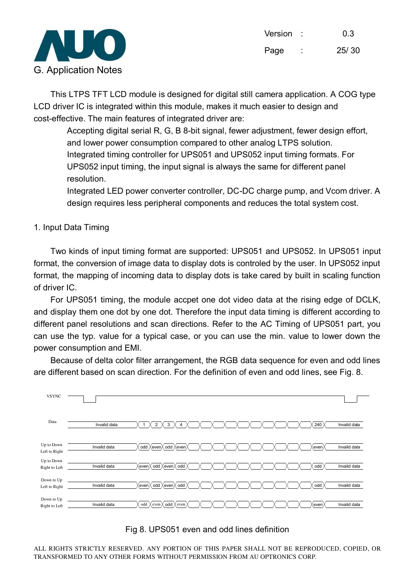

This LTPS TFT LCD module is designed for digital still camera application. A COG type LCD driver IC is integrated within this module, makes it much easier to design and cost-effective. The main features of integrated driver are:

 Accepting digital serial R, G, B 8-bit signal, fewer adjustment, fewer design effort, and lower power consumption compared to other analog LTPS solution. Integrated timing controller for UPS051 and UPS052 input timing formats. For UPS052 input timing, the input signal is always the same for different panel resolution.

 Integrated LED power converter controller, DC-DC charge pump, and Vcom driver. A design requires less peripheral components and reduces the total system cost.

# 1. Input Data Timing

Two kinds of input timing format are supported: UPS051 and UPS052. In UPS051 input format, the conversion of image data to display dots is controled by the user. In UPS052 input format, the mapping of incoming data to display dots is take cared by built in scaling function of driver IC.

For UPS051 timing, the module accpet one dot video data at the rising edge of DCLK, and display them one dot by one dot. Therefore the input data timing is different according to different panel resolutions and scan directions. Refer to the AC Timing of UPS051 part, you can use the typ. value for a typical case, or you can use the min. value to lower down the power consumption and EMI.

Because of delta color filter arrangement, the RGB data sequence for even and odd lines are different based on scan direction. For the definition of even and odd lines, see Fig. 8.



#### Fig 8. UPS051 even and odd lines definition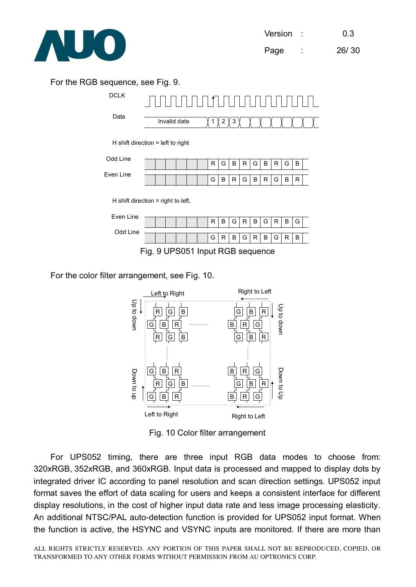

# For the RGB sequence, see Fig. 9.



For the color filter arrangement, see Fig. 10.



Fig. 10 Color filter arrangement

For UPS052 timing, there are three input RGB data modes to choose from: 320xRGB, 352xRGB, and 360xRGB. Input data is processed and mapped to display dots by integrated driver IC according to panel resolution and scan direction settings. UPS052 input format saves the effort of data scaling for users and keeps a consistent interface for different display resolutions, in the cost of higher input data rate and less image processing elasticity. An additional NTSC/PAL auto-detection function is provided for UPS052 input format. When the function is active, the HSYNC and VSYNC inputs are monitored. If there are more than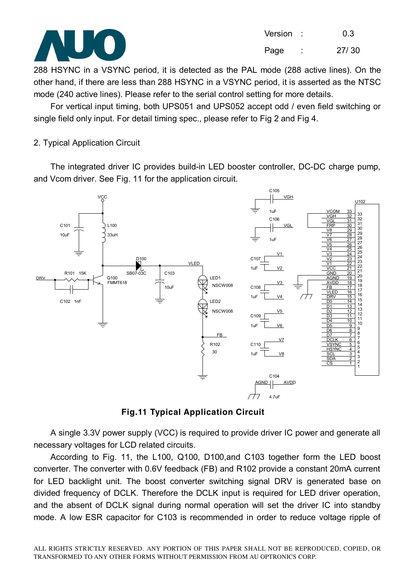

288 HSYNC in a VSYNC period, it is detected as the PAL mode (288 active lines). On the other hand, if there are less than 288 HSYNC in a VSYNC period, it is asserted as the NTSC mode (240 active lines). Please refer to the serial control setting for more details.

For vertical input timing, both UPS051 and UPS052 accept odd / even field switching or single field only input. For detail timing spec., please refer to Fig 2 and Fig 4.

# 2. Typical Application Circuit

The integrated driver IC provides build-in LED booster controller, DC-DC charge pump, and Vcom driver. See Fig. 11 for the application circuit.



**Fig.11 Typical Application Circuit** 

A single 3.3V power supply (VCC) is required to provide driver IC power and generate all necessary voltages for LCD related circuits.

According to Fig. 11, the L100, Q100, D100,and C103 together form the LED boost converter. The converter with 0.6V feedback (FB) and R102 provide a constant 20mA current for LED backlight unit. The boost converter switching signal DRV is generated base on divided frequency of DCLK. Therefore the DCLK input is required for LED driver operation, and the absent of DCLK signal during normal operation will set the driver IC into standby mode. A low ESR capacitor for C103 is recommended in order to reduce voltage ripple of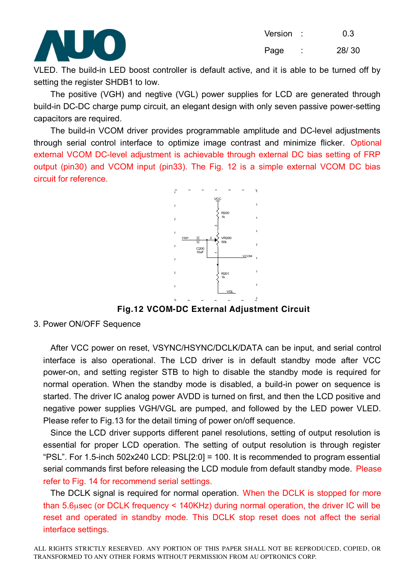

Version : 0.3

Page : 28/30

VLED. The build-in LED boost controller is default active, and it is able to be turned off by setting the register SHDB1 to low.

The positive (VGH) and negtive (VGL) power supplies for LCD are generated through build-in DC-DC charge pump circuit, an elegant design with only seven passive power-setting capacitors are required.

The build-in VCOM driver provides programmable amplitude and DC-level adjustments through serial control interface to optimize image contrast and minimize flicker. Optional external VCOM DC-level adjustment is achievable through external DC bias setting of FRP output (pin30) and VCOM input (pin33). The Fig. 12 is a simple external VCOM DC bias circuit for reference.



**Fig.12 VCOM-DC External Adjustment Circuit** 

#### 3. Power ON/OFF Sequence

After VCC power on reset, VSYNC/HSYNC/DCLK/DATA can be input, and serial control interface is also operational. The LCD driver is in default standby mode after VCC power-on, and setting register STB to high to disable the standby mode is required for normal operation. When the standby mode is disabled, a build-in power on sequence is started. The driver IC analog power AVDD is turned on first, and then the LCD positive and negative power supplies VGH/VGL are pumped, and followed by the LED power VLED. Please refer to Fig.13 for the detail timing of power on/off sequence.

Since the LCD driver supports different panel resolutions, setting of output resolution is essential for proper LCD operation. The setting of output resolution is through register "PSL". For 1.5-inch 502x240 LCD: PSL[2:0] = 100. It is recommended to program essential serial commands first before releasing the LCD module from default standby mode. Please refer to Fig. 14 for recommend serial settings.

The DCLK signal is required for normal operation. When the DCLK is stopped for more than 5.6µsec (or DCLK frequency < 140KHz) during normal operation, the driver IC will be reset and operated in standby mode. This DCLK stop reset does not affect the serial interface settings.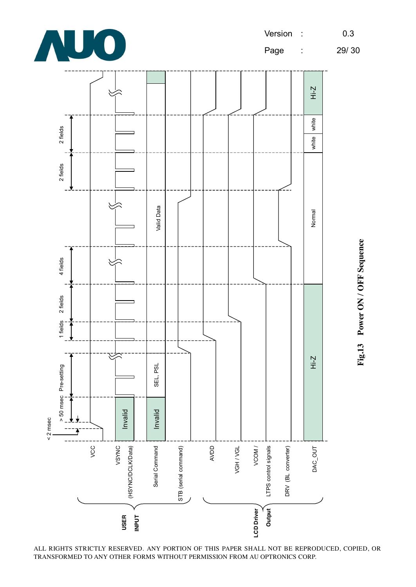